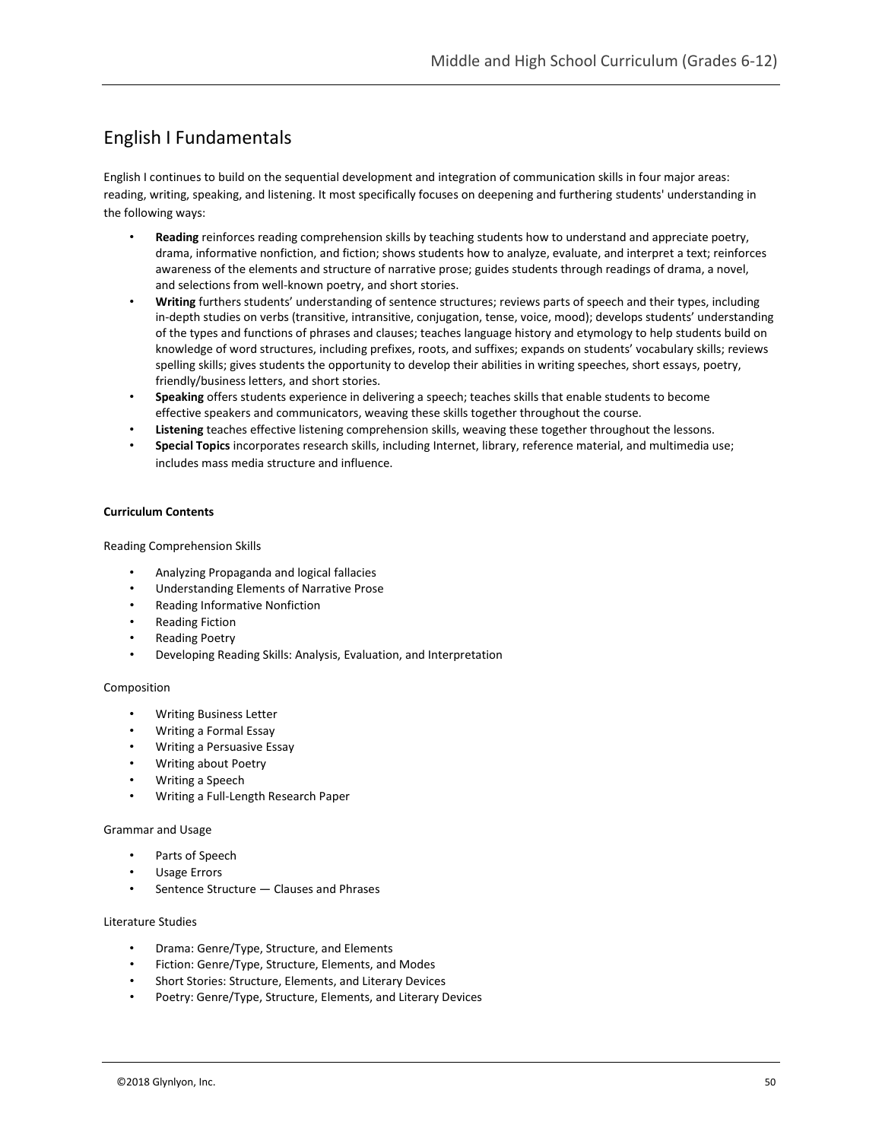# English I Fundamentals

English I continues to build on the sequential development and integration of communication skills in four major areas: reading, writing, speaking, and listening. It most specifically focuses on deepening and furthering students' understanding in the following ways:

- **Reading** reinforces reading comprehension skills by teaching students how to understand and appreciate poetry, drama, informative nonfiction, and fiction; shows students how to analyze, evaluate, and interpret a text; reinforces awareness of the elements and structure of narrative prose; guides students through readings of drama, a novel, and selections from well-known poetry, and short stories.
- **Writing** furthers students' understanding of sentence structures; reviews parts of speech and their types, including in-depth studies on verbs (transitive, intransitive, conjugation, tense, voice, mood); develops students' understanding of the types and functions of phrases and clauses; teaches language history and etymology to help students build on knowledge of word structures, including prefixes, roots, and suffixes; expands on students' vocabulary skills; reviews spelling skills; gives students the opportunity to develop their abilities in writing speeches, short essays, poetry, friendly/business letters, and short stories.
- **Speaking** offers students experience in delivering a speech; teaches skills that enable students to become effective speakers and communicators, weaving these skills together throughout the course.
- **Listening** teaches effective listening comprehension skills, weaving these together throughout the lessons.
- **Special Topics** incorporates research skills, including Internet, library, reference material, and multimedia use; includes mass media structure and influence.

# **Curriculum Contents**

Reading Comprehension Skills

- Analyzing Propaganda and logical fallacies
- Understanding Elements of Narrative Prose
- Reading Informative Nonfiction
- Reading Fiction
- Reading Poetry
- Developing Reading Skills: Analysis, Evaluation, and Interpretation

#### Composition

- Writing Business Letter
- Writing a Formal Essay
- Writing a Persuasive Essay
- Writing about Poetry
- Writing a Speech
- Writing a Full-Length Research Paper

# Grammar and Usage

- Parts of Speech
- Usage Errors
- Sentence Structure Clauses and Phrases

# Literature Studies

- Drama: Genre/Type, Structure, and Elements
- Fiction: Genre/Type, Structure, Elements, and Modes
- Short Stories: Structure, Elements, and Literary Devices
- Poetry: Genre/Type, Structure, Elements, and Literary Devices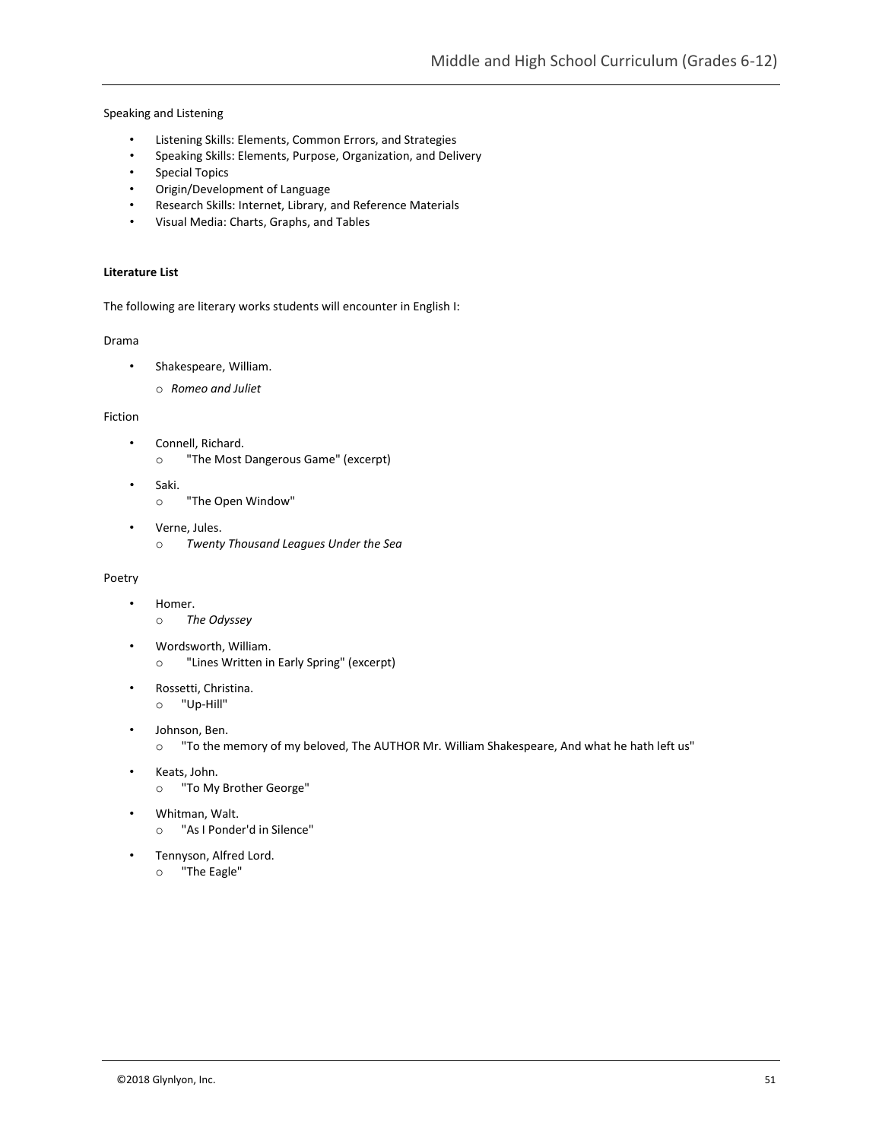Speaking and Listening

- Listening Skills: Elements, Common Errors, and Strategies
- Speaking Skills: Elements, Purpose, Organization, and Delivery
- Special Topics
- Origin/Development of Language
- Research Skills: Internet, Library, and Reference Materials
- Visual Media: Charts, Graphs, and Tables

# **Literature List**

The following are literary works students will encounter in English I:

#### Drama

- Shakespeare, William.
	- o *Romeo and Juliet*

# Fiction

- Connell, Richard.
	- o "The Most Dangerous Game" (excerpt)
- Saki.
	- o "The Open Window"
- Verne, Jules. o *Twenty Thousand Leagues Under the Sea*

#### Poetry

- Homer.
	- o *The Odyssey*
- Wordsworth, William. o "Lines Written in Early Spring" (excerpt)
- Rossetti, Christina. o "Up-Hill"
- Johnson, Ben.
	- o "To the memory of my beloved, The AUTHOR Mr. William Shakespeare, And what he hath left us"
- Keats, John.
	- o "To My Brother George"
- Whitman, Walt.
	- o "As I Ponder'd in Silence"
- Tennyson, Alfred Lord.
	- o "The Eagle"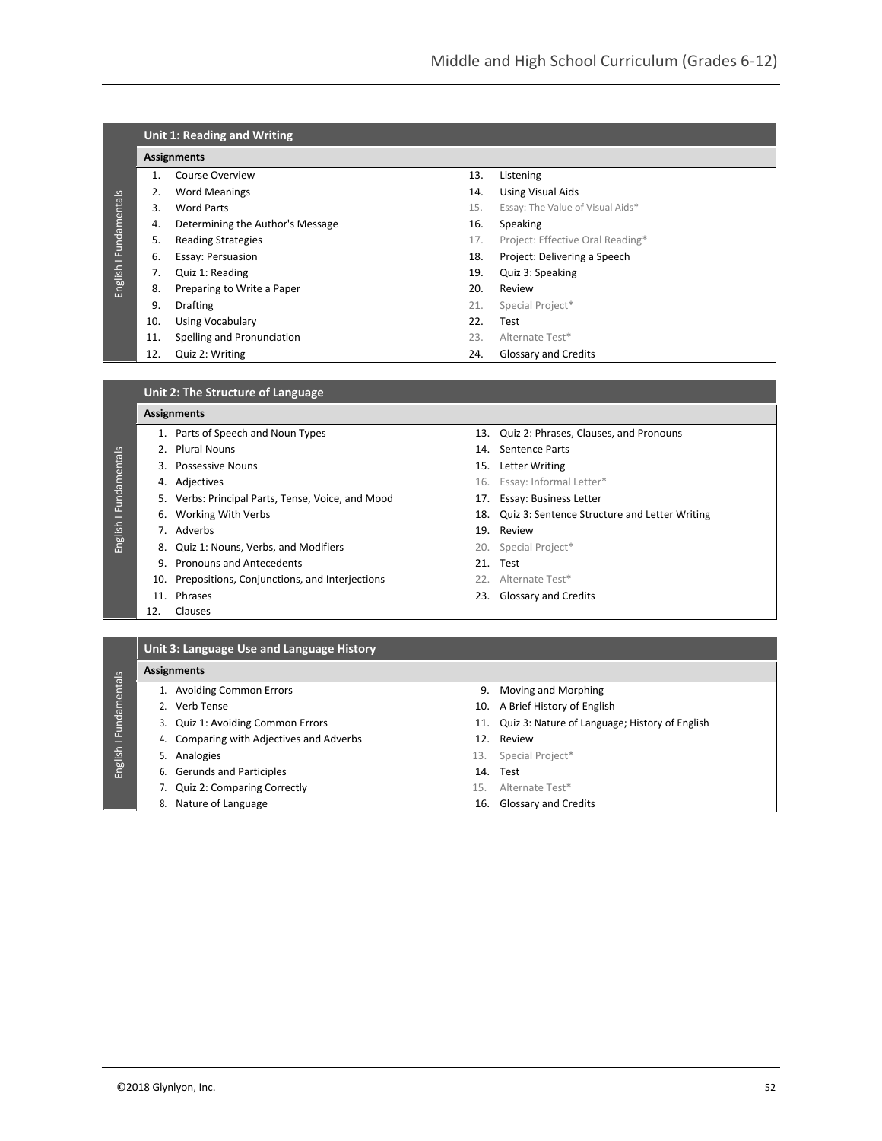|                |                    | Unit 1: Reading and Writing      |     |                                  |  |  |
|----------------|--------------------|----------------------------------|-----|----------------------------------|--|--|
|                | <b>Assignments</b> |                                  |     |                                  |  |  |
|                |                    | Course Overview                  | 13. | Listening                        |  |  |
|                | 2.                 | <b>Word Meanings</b>             | 14. | <b>Using Visual Aids</b>         |  |  |
|                | 3.                 | Word Parts                       | 15. | Essay: The Value of Visual Aids* |  |  |
| I Fundamentals | 4.                 | Determining the Author's Message | 16. | Speaking                         |  |  |
|                | 5.                 | <b>Reading Strategies</b>        | 17. | Project: Effective Oral Reading* |  |  |
|                | 6.                 | Essay: Persuasion                | 18. | Project: Delivering a Speech     |  |  |
|                | 7.                 | Quiz 1: Reading                  | 19. | Quiz 3: Speaking                 |  |  |
| English        | 8.                 | Preparing to Write a Paper       | 20. | Review                           |  |  |
|                | 9.                 | <b>Drafting</b>                  | 21. | Special Project*                 |  |  |
|                | 10.                | <b>Using Vocabulary</b>          | 22. | Test                             |  |  |
|                | 11.                | Spelling and Pronunciation       | 23. | Alternate Test*                  |  |  |
|                | 12.                | Quiz 2: Writing                  | 24. | <b>Glossary and Credits</b>      |  |  |

#### **Assignments**

- 
- 2. Plural Nouns 14. Sentence Parts 3. Possessive Nouns 15. Letter Writing
- 

English I Fundamentals

English I Fundamentals

- 5. Verbs: Principal Parts, Tense, Voice, and Mood 17. Essay: Business Letter
- 
- 7. Adverbs 3. 2002 19. Review
- 8. Quiz 1: Nouns, Verbs, and Modifiers 20. Special Project\*
- 9. Pronouns and Antecedents 21. Test
- 10. Prepositions, Conjunctions, and Interjections 22. Alternate Test\*
- 
- 12. Clauses
- 1. Parts of Speech and Noun Types 13. Quiz 2: Phrases, Clauses, and Pronouns
	-
	-
- **4. Adjectives 16. Essay: Informal Letter\*** 
	-
- 6. Working With Verbs 18. Quiz 3: Sentence Structure and Letter Writing
	-
	-
	-
	-
- 11. Phrases 23. Glossary and Credits

# **Unit 3: Language Use and Language History**

|                           | <b>Assignments</b> |                                          |     |                                                    |  |  |
|---------------------------|--------------------|------------------------------------------|-----|----------------------------------------------------|--|--|
| I Fundamentals<br>English |                    | 1. Avoiding Common Errors                | 9.  | Moving and Morphing                                |  |  |
|                           |                    | 2. Verb Tense                            |     | 10. A Brief History of English                     |  |  |
|                           |                    | 3. Quiz 1: Avoiding Common Errors        |     | 11. Quiz 3: Nature of Language; History of English |  |  |
|                           |                    | 4. Comparing with Adjectives and Adverbs |     | 12. Review                                         |  |  |
|                           |                    | 5. Analogies                             | 13. | Special Project*                                   |  |  |
|                           |                    | 6. Gerunds and Participles               |     | 14. Test                                           |  |  |
|                           |                    | 7. Quiz 2: Comparing Correctly           | 15. | Alternate Test*                                    |  |  |
|                           |                    | 8. Nature of Language                    | 16. | <b>Glossary and Credits</b>                        |  |  |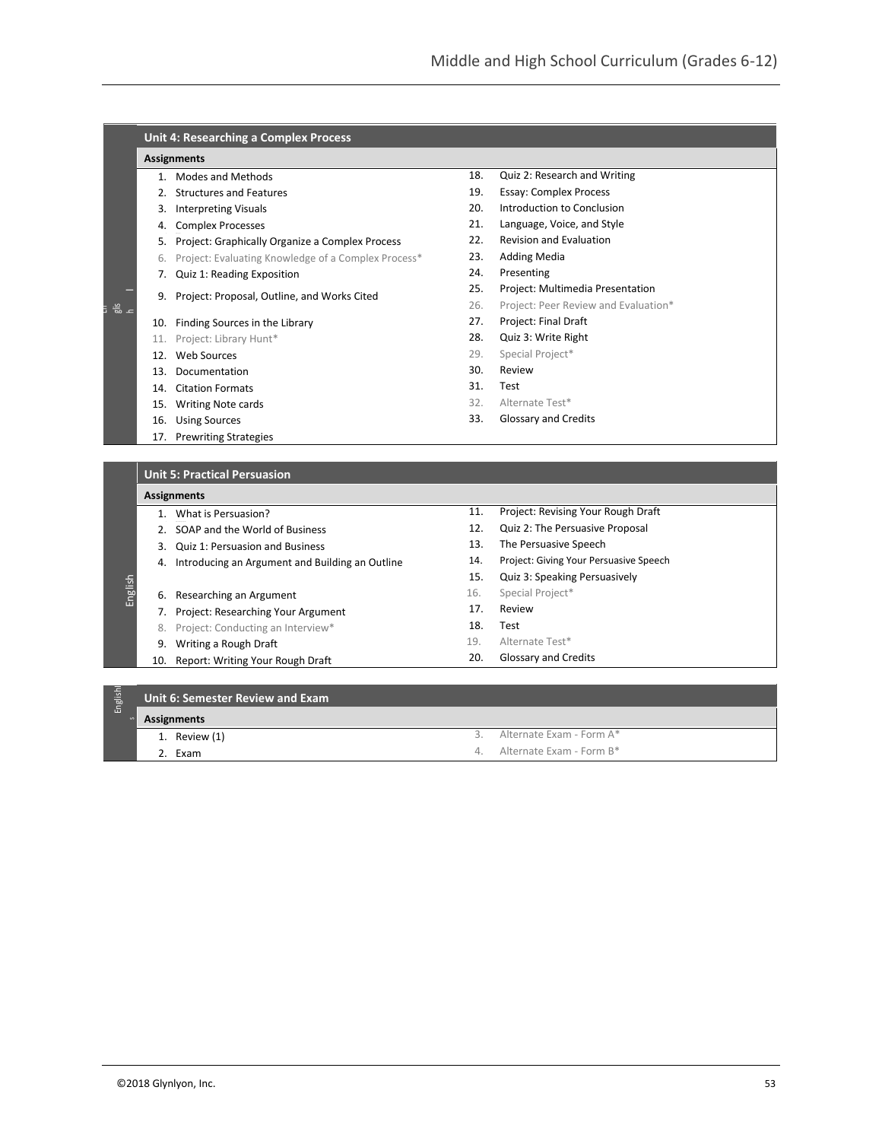#### **Unit 4: Researching a Complex Process**

#### **Assignments**

- 1. Modes and Methods
- 2. Structures and Features
- 3. Interpreting Visuals
- 4. Complex Processes
- 5. Project: Graphically Organize a Complex Process
- 6. Project: Evaluating Knowledge of a Complex Process\*
- 7. Quiz 1: Reading Exposition
- 9. Project: Proposal, Outline, and Works Cited
- 10. Finding Sources in the Library
- 11. Project: Library Hunt\*
- 12. Web Sources

En glis h

- 13. Documentation
- 14. Citation Formats
- 15. Writing Note cards
- 16. Using Sources
- 17. Prewriting Strategies
- 18. Quiz 2: Research and Writing 19. Essay: Complex Process
- 20. Introduction to Conclusion
- 21. Language, Voice, and Style
- 22. Revision and Evaluation
- 
- 23. Adding Media
- 24. Presenting
- 25. Project: Multimedia Presentation
- 26. Project: Peer Review and Evaluation\*
- 27. Project: Final Draft
- 28. Quiz 3: Write Right
- 29. Special Project\*
- 30. Review
- 31. Test
- 32. Alternate Test\*
- 33. Glossary and Credits

#### **Unit 5: Practical Persuasion**

#### **Assignments**

English

- 1. What is Persuasion?
- 2. SOAP and the World of Business
- 3. Quiz 1: Persuasion and Business
- 4. Introducing an Argument and Building an Outline
- 6. Researching an Argument
- 7. Project: Researching Your Argument
- 8. Project: Conducting an Interview\*
- 9. Writing a Rough Draft
- 10. Report: Writing Your Rough Draft
- 11. Project: Revising Your Rough Draft
- 12. Quiz 2: The Persuasive Proposal
- 13. The Persuasive Speech
- 14. Project: Giving Your Persuasive Speech
- 15. Quiz 3: Speaking Persuasively
- 16. Special Project\*
- 17. Review
- 18. Test
- 19. Alternate Test\*
- 20. Glossary and Credits

| Englishl |             | Unit 6: Semester Review and Exam |    |                          |  |  |
|----------|-------------|----------------------------------|----|--------------------------|--|--|
|          | Assignments |                                  |    |                          |  |  |
|          |             | 1. Review $(1)$                  |    | Alternate Exam - Form A* |  |  |
|          |             | 2. Exam                          | 4. | Alternate Exam - Form B* |  |  |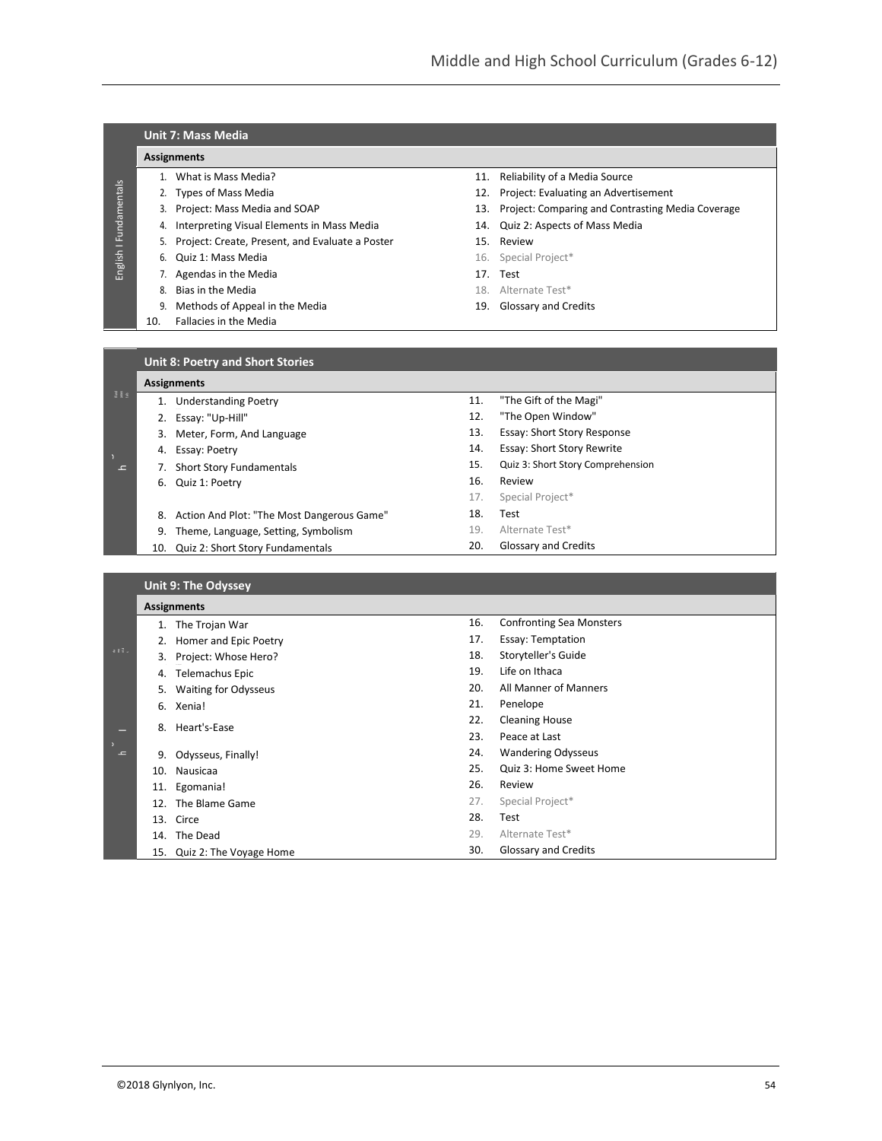13. Essay: Short Story Response 14. Essay: Short Story Rewrite 15. Quiz 3: Short Story Comprehension

16. Review 17. Special Project\*

|                             |                                         | <b>Unit 7: Mass Media</b>                       |     |                                                   |  |  |  |
|-----------------------------|-----------------------------------------|-------------------------------------------------|-----|---------------------------------------------------|--|--|--|
| I Fundamentals              |                                         | <b>Assignments</b>                              |     |                                                   |  |  |  |
|                             |                                         | What is Mass Media?                             | 11. | Reliability of a Media Source                     |  |  |  |
|                             |                                         | 2. Types of Mass Media                          | 12. | Project: Evaluating an Advertisement              |  |  |  |
|                             | 3.                                      | Project: Mass Media and SOAP                    | 13. | Project: Comparing and Contrasting Media Coverage |  |  |  |
|                             | 4.                                      | Interpreting Visual Elements in Mass Media      | 14. | Quiz 2: Aspects of Mass Media                     |  |  |  |
|                             | 5.                                      | Project: Create, Present, and Evaluate a Poster | 15. | Review                                            |  |  |  |
| English                     | 6.                                      | Quiz 1: Mass Media                              |     | 16. Special Project*                              |  |  |  |
|                             |                                         | 7. Agendas in the Media                         | 17. | Test                                              |  |  |  |
|                             | 8.                                      | Bias in the Media                               |     | 18. Alternate Test*                               |  |  |  |
|                             | 9.                                      | Methods of Appeal in the Media                  | 19. | <b>Glossary and Credits</b>                       |  |  |  |
|                             | 10.                                     | Fallacies in the Media                          |     |                                                   |  |  |  |
|                             |                                         |                                                 |     |                                                   |  |  |  |
|                             | <b>Unit 8: Poetry and Short Stories</b> |                                                 |     |                                                   |  |  |  |
|                             |                                         | <b>Assignments</b>                              |     |                                                   |  |  |  |
| $\frac{3}{2}$ $\frac{6}{8}$ |                                         | <b>Understanding Poetry</b>                     | 11. | "The Gift of the Magi"                            |  |  |  |
|                             |                                         | Essay: "Up-Hill"                                | 12. | "The Open Window"                                 |  |  |  |

|                 |     | 8. Action And Plot: "The Most Dangerous Game" | 18. | Test                            |
|-----------------|-----|-----------------------------------------------|-----|---------------------------------|
|                 | 9.  | Theme, Language, Setting, Symbolism           | 19. | Alternate Test*                 |
|                 | 10. | Quiz 2: Short Story Fundamentals              | 20. | Glossary and Credits            |
|                 |     |                                               |     |                                 |
|                 |     | <b>Unit 9: The Odyssey</b>                    |     |                                 |
|                 |     | <b>Assignments</b>                            |     |                                 |
|                 |     | 1. The Trojan War                             | 16. | <b>Confronting Sea Monsters</b> |
|                 |     | 2. Homer and Epic Poetry                      | 17. | <b>Essay: Temptation</b>        |
| $B$ $B$ $B$ $A$ |     | 3. Project: Whose Hero?                       | 18. | Storyteller's Guide             |
|                 | 4.  | Telemachus Epic                               | 19. | Life on Ithaca                  |
|                 | 5.  | <b>Waiting for Odysseus</b>                   | 20. | All Manner of Manners           |
|                 |     | 6. Xenia!                                     | 21. | Penelope                        |
|                 |     | 8. Heart's-Ease                               | 22. | <b>Cleaning House</b>           |
|                 |     |                                               | 23. | Peace at Last                   |
| $\overline{ }$  | 9.  | Odysseus, Finally!                            | 24. | <b>Wandering Odysseus</b>       |
|                 | 10. | Nausicaa                                      | 25. | Quiz 3: Home Sweet Home         |
|                 | 11. | Egomania!                                     | 26. | Review                          |
|                 | 12. | The Blame Game                                | 27. | Special Project*                |
|                 |     | 13. Circe                                     | 28. | Test                            |
|                 |     | 14. The Dead                                  | 29. | Alternate Test*                 |
|                 | 15. | Quiz 2: The Voyage Home                       | 30. | Glossary and Credits            |

3. Meter, Form, And Language

7. Short Story Fundamentals

4. Essay: Poetry

6. Quiz 1: Poetry